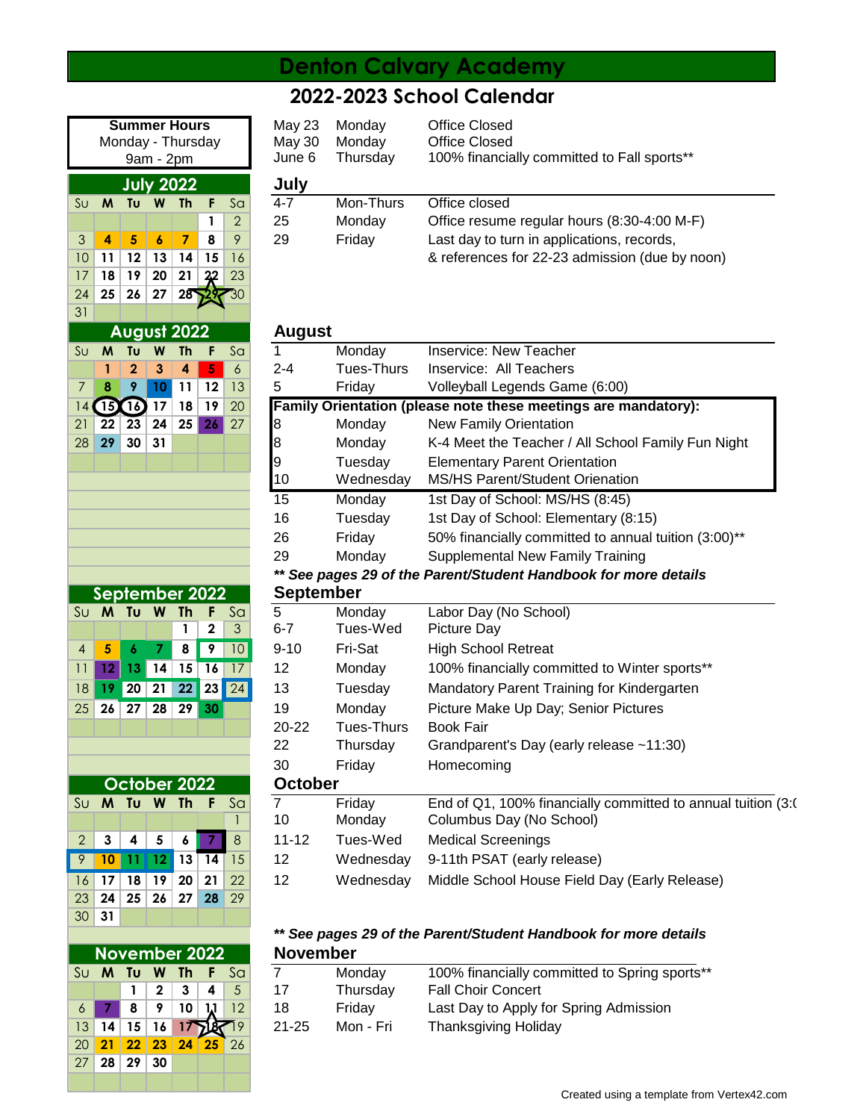## **Denton Calvary Academy**

## **2022-2023 School Calendar**

|                |                |                 |                 | <b>Summer Hours</b> |    |                | <b>May 23</b>    | Monday                                     | <b>Office Closed</b> |
|----------------|----------------|-----------------|-----------------|---------------------|----|----------------|------------------|--------------------------------------------|----------------------|
|                |                |                 |                 | Monday - Thursday   |    |                | May 30           | Monday                                     | <b>Office Closed</b> |
|                |                |                 | 9am - 2pm       |                     |    |                | June 6           | Thursday                                   | 100% financi         |
|                |                |                 |                 | <b>July 2022</b>    |    |                | July             |                                            |                      |
| S <sub>U</sub> | M              | Tυ              | W               | <b>Th</b>           | F  | Sa             | 4-7              | Mon-Thurs                                  | Office closed        |
|                |                |                 |                 |                     | 1  | $\overline{2}$ | 25               | Monday                                     | Office resum         |
| 3              | 4              | 5               | 6               | $\overline{7}$      | 8  | 9              | 29               | Friday                                     | Last day to tu       |
| 10             | 11             | 12              | 13              | 14                  | 15 | 16             |                  |                                            | & references         |
| 17             | 18             | 19              | 20              | 21                  | 22 | 23             |                  |                                            |                      |
| 24             | 25             | 26              | 27              | 28                  |    | $30\,$         |                  |                                            |                      |
| 31             |                |                 |                 |                     |    |                |                  |                                            |                      |
|                |                |                 |                 | <b>August 2022</b>  |    |                | <b>August</b>    |                                            |                      |
| S <sub>U</sub> | M              | Tu              | W               | <b>Th</b>           | F  | S <sub>a</sub> | 1                | Monday                                     | Inservice: Ne        |
|                | 1              | $\overline{2}$  | 3               | 4                   | 5  | 6              | $2 - 4$          | Tues-Thurs                                 | Inservice: Al        |
| $\overline{7}$ | 8              | 9               | 10              | 11                  | 12 | 13             | 5                | Friday                                     | Volleyball Leg       |
| 14             | 15             | $\overline{16}$ | 17              | 18                  | 19 | 20             |                  | <b>Family Orientation (please note the</b> |                      |
| 21             | 22             | 23              | 24              | 25                  | 26 | 27             | 8                | Monday                                     | New Family 0         |
| 28             | 29             | 30              | 31              |                     |    |                | 8                | Monday                                     | K-4 Meet the         |
|                |                |                 |                 |                     |    |                | 9                | Tuesday                                    | <b>Elementary F</b>  |
|                |                |                 |                 |                     |    |                | 10               | Wednesday                                  | MS/HS Parer          |
|                |                |                 |                 |                     |    |                | 15               | Monday                                     | 1st Day of So        |
|                |                |                 |                 |                     |    |                | 16               | Tuesday                                    | 1st Day of So        |
|                |                |                 |                 |                     |    |                | 26               | Friday                                     | 50% financia         |
|                |                |                 |                 |                     |    |                | 29               | Monday                                     | Supplementa          |
|                |                |                 |                 |                     |    |                |                  | ** See pages 29 of the Parent/Stude        |                      |
|                | September 2022 |                 |                 |                     |    |                | <b>September</b> |                                            |                      |
| $S_{U}$        | M              | Tυ              | W               | Th                  | F  | S <sub>a</sub> | 5                | Monday                                     | Labor Day (N         |
|                |                |                 |                 | 1                   | 2  | 3              | $6 - 7$          | Tues-Wed                                   | Picture Day          |
| $\overline{4}$ | 5              | 6               | 7               | 8                   | 9  | 10             | $9 - 10$         | Fri-Sat                                    | High School          |
| 11             | 12             | 13              | 14              | 15                  | 16 | 17             | 12               | Monday                                     | 100% financi         |
| 18             | 19             | $\overline{20}$ | $\overline{21}$ | $\overline{22}$     | 23 | 24             | 13               | Tuesday                                    | Mandatory Pa         |
| 25             | 26             | 27              | 28              | 29                  | 30 |                | 19               | Monday                                     | <b>Picture Make</b>  |
|                |                |                 |                 |                     |    |                | 20-22            | Tues-Thurs                                 | <b>Book Fair</b>     |
|                |                |                 |                 |                     |    |                | 22               | Thursday                                   | Grandparent'         |
|                |                |                 |                 |                     |    |                | 30               | Friday                                     | Homecoming           |
|                |                |                 |                 | October 2022        |    |                | <b>October</b>   |                                            |                      |
| S <sub>U</sub> | M              | Tυ              | W               | <b>Th</b>           | F  | S <sub>a</sub> | 7                | Friday                                     | End of Q1, 10        |
|                |                |                 |                 |                     |    | $\mathbf{1}$   | 10               | Monday                                     | Columbus Da          |
| $\overline{2}$ | 3              | 4               | 5               | 6                   |    | 8              | $11 - 12$        | Tues-Wed                                   | <b>Medical Scre</b>  |
| 9              | 10             | 11              | 12              | 13                  | 14 | 15             | 12               | Wednesday                                  | 9-11th PSAT          |
| 16             | 17             | 18              | 19              | 20                  | 21 | 22             | 12               | Wednesday                                  | Middle Schoo         |
| 23             | 24             | 25              | 26              | 27                  | 28 | 29             |                  |                                            |                      |

|                                  | <b>Summer Hours</b><br>Monday - Thursday<br>$9am - 2pm$ |    |    |                                                      |  |                | May 23<br>May 30<br>June 6 | Monday<br>Monday<br>Thursday | Office Closed<br>Office Closed<br>100% financially committed to Fall sports** |
|----------------------------------|---------------------------------------------------------|----|----|------------------------------------------------------|--|----------------|----------------------------|------------------------------|-------------------------------------------------------------------------------|
| July 2022                        |                                                         |    |    |                                                      |  |                | July                       |                              |                                                                               |
| Sul                              | M                                                       | Tu | W  | Th                                                   |  | Sa             | $4 - 7$                    | Mon-Thurs                    | Office closed                                                                 |
|                                  |                                                         |    |    |                                                      |  | $\overline{2}$ | 25                         | Monday                       | Office resume regular hours (8:30-4:00 M-F)                                   |
| $\mathbf{3}$                     | 5<br>$\boldsymbol{6}$<br>8<br>7<br>9<br>4               |    | 29 | Last day to turn in applications, records,<br>Friday |  |                |                            |                              |                                                                               |
| 10<br>15<br>16<br>13<br>14<br>12 |                                                         |    |    | & references for 22-23 admission (due by noon)       |  |                |                            |                              |                                                                               |

| $S_{U}$        | M                                                               | Tu           | W  | <b>Th</b> | F               | S <sub>G</sub>  | 1                | Monday            | <b>Inservice: New Teacher</b>                                  |  |  |  |  |
|----------------|-----------------------------------------------------------------|--------------|----|-----------|-----------------|-----------------|------------------|-------------------|----------------------------------------------------------------|--|--|--|--|
|                |                                                                 | $\mathbf 2$  | 3  | 4         | 5               | 6               | $2 - 4$          | Tues-Thurs        | Inservice: All Teachers                                        |  |  |  |  |
| 7              | 8                                                               | 9            | 10 | 11        | 12              | 13              | 5                | Friday            | Volleyball Legends Game (6:00)                                 |  |  |  |  |
| 14             | Œ                                                               | 16           | 17 | 18        | 19              | 20              |                  |                   | Family Orientation (please note these meetings are mandatory): |  |  |  |  |
| 21             | 22                                                              | 23           | 24 | 25        | 26              | 27              | 8                | Monday            | <b>New Family Orientation</b>                                  |  |  |  |  |
| 28             | 29                                                              | 30           | 31 |           |                 |                 | 8                | Monday            | K-4 Meet the Teacher / All School Family Fun Night             |  |  |  |  |
|                |                                                                 |              |    |           |                 |                 | 9                | Tuesday           | <b>Elementary Parent Orientation</b>                           |  |  |  |  |
|                |                                                                 |              |    |           |                 |                 | 10               | Wednesday         | MS/HS Parent/Student Orienation                                |  |  |  |  |
|                |                                                                 |              |    |           |                 |                 | 15               | Monday            | 1st Day of School: MS/HS (8:45)                                |  |  |  |  |
|                |                                                                 |              |    |           |                 |                 | 16               | Tuesday           | 1st Day of School: Elementary (8:15)                           |  |  |  |  |
|                |                                                                 |              |    |           |                 |                 | 26               | Friday            | 50% financially committed to annual tuition (3:00)**           |  |  |  |  |
|                |                                                                 |              |    |           |                 |                 | 29               | Monday            | <b>Supplemental New Family Training</b>                        |  |  |  |  |
|                | ** See pages 29 of the Parent/Student Handbook for more details |              |    |           |                 |                 |                  |                   |                                                                |  |  |  |  |
|                |                                                                 |              |    |           | September 2022  |                 | <b>September</b> |                   |                                                                |  |  |  |  |
| Su             | <b>M</b>                                                        | Τυ           | W  | <b>Th</b> |                 | S <sub>a</sub>  | $\overline{5}$   | Monday            | Labor Day (No School)                                          |  |  |  |  |
|                |                                                                 |              |    | 1         | 2               | 3               | $6 - 7$          | Tues-Wed          | Picture Day                                                    |  |  |  |  |
| $\overline{4}$ | 5                                                               | 6            |    | 8         | 9               | 10 <sup>°</sup> | $9 - 10$         | Fri-Sat           | <b>High School Retreat</b>                                     |  |  |  |  |
| 11             | 12 <sup>°</sup>                                                 | 13           | 14 | 15        | $\overline{16}$ | 17              | 12               | Monday            | 100% financially committed to Winter sports**                  |  |  |  |  |
| 8              | -19                                                             | 20           | 21 | 22        | 23              | 24              | 13               | Tuesday           | Mandatory Parent Training for Kindergarten                     |  |  |  |  |
| 25             | 26                                                              | 27           | 28 | 29        | 30              |                 | 19               | Monday            | Picture Make Up Day; Senior Pictures                           |  |  |  |  |
|                |                                                                 |              |    |           |                 |                 | 20-22            | <b>Tues-Thurs</b> | <b>Book Fair</b>                                               |  |  |  |  |
|                |                                                                 |              |    |           |                 |                 | 22               | Thursday          | Grandparent's Day (early release ~11:30)                       |  |  |  |  |
|                |                                                                 |              |    |           |                 |                 | 30               | Friday            | Homecoming                                                     |  |  |  |  |
|                |                                                                 | October 2022 |    |           |                 |                 | <b>October</b>   |                   |                                                                |  |  |  |  |
| Sυ             | M                                                               | Τu           | W  | -Th       |                 | S <sub>a</sub>  | $\overline{7}$   | Friday            | End of Q1, 100% financially committed to annual tuition (3:0)  |  |  |  |  |
|                |                                                                 |              |    |           |                 |                 | 10               | Monday            | Columbus Day (No School)                                       |  |  |  |  |
| 2              | 3                                                               | 4            | 5  | 6         |                 | 8               | $11 - 12$        | Tues-Wed          | <b>Medical Screenings</b>                                      |  |  |  |  |
| 9              | 10 <sub>1</sub>                                                 | 11           | 12 | 13        | 14              | 15              | 12               | Wednesday         | 9-11th PSAT (early release)                                    |  |  |  |  |
|                | $16$ 17                                                         | 18           | 19 | 20        | 21              | 22              | 12               | Wednesday         | Middle School House Field Day (Early Release)                  |  |  |  |  |
|                |                                                                 |              |    |           |                 |                 |                  |                   |                                                                |  |  |  |  |

### *\*\* See pages 29 of the Parent/Student Handbook for more details* **November 2022 November**

|  |  |  | Su <b>M</b> Tu <b>W</b> Th F Sal         |       | Monday    | 100% financially committed to Spring sports** |  |  |
|--|--|--|------------------------------------------|-------|-----------|-----------------------------------------------|--|--|
|  |  |  | 123445                                   |       | Thursdav  | <b>Fall Choir Concert</b>                     |  |  |
|  |  |  | 6 7 8 9 10 11 12<br>13 14 15 16 17 18 19 | 18.   | Fridav    | Last Day to Apply for Spring Admission        |  |  |
|  |  |  |                                          | 21-25 | Mon - Fri | <b>Thanksgiving Holiday</b>                   |  |  |

| November 2022   |                     |              |               |           |                                                      |              |  |  |  |  |
|-----------------|---------------------|--------------|---------------|-----------|------------------------------------------------------|--------------|--|--|--|--|
| Su              |                     |              |               | M Tu W Th | $\bullet$                                            | $S_{\Omega}$ |  |  |  |  |
|                 |                     | $\mathbf{1}$ |               | $234$     |                                                      | $-5$         |  |  |  |  |
| $\overline{6}$  |                     |              | 8   9   10    |           |                                                      | $\vert$ 12   |  |  |  |  |
| 13 <sup>°</sup> |                     |              | $14$ 15 16 17 |           |                                                      | 19           |  |  |  |  |
| 20              | 21 22 23            |              |               | 24        | $\begin{array}{ c c }\n\hline\n25 & 26\n\end{array}$ |              |  |  |  |  |
|                 | $27$   28   29   30 |              |               |           |                                                      |              |  |  |  |  |
|                 |                     |              |               |           |                                                      |              |  |  |  |  |

30 **31**